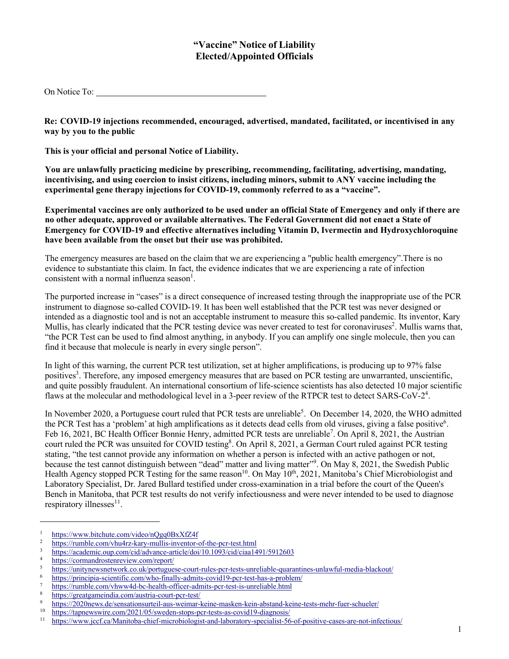# **"Vaccine" Notice of Liability Elected/Appointed Officials**

On Notice To:

**Re: COVID-19 injections recommended, encouraged, advertised, mandated, facilitated, or incentivised in any way by you to the public**

**This is your official and personal Notice of Liability.**

**You are unlawfully practicing medicine by prescribing, recommending, facilitating, advertising, mandating, incentivising, and using coercion to insist citizens, including minors, submit to ANY vaccine including the experimental gene therapy injections for COVID-19, commonly referred to as a "vaccine".**

**Experimental vaccines are only authorized to be used under an official State of Emergency and only if there are no other adequate, approved or available alternatives. The Federal Government did not enact a State of Emergency for COVID-19 and effective alternatives including Vitamin D, Ivermectin and Hydroxychloroquine have been available from the onset but their use was prohibited.**

The emergency measures are based on the claim that we are experiencing a "public health emergency".There is no evidence to substantiate this claim. In fact, the evidence indicates that we are experiencing a rate of infection consistent with a normal influenza season<sup>1</sup>.

The purported increase in "cases" is a direct consequence of increased testing through the inappropriate use of the PCR instrument to diagnose so-called COVID-19. It has been well established that the PCR test was never designed or intended as a diagnostic tool and is not an acceptable instrument to measure this so-called pandemic. Its inventor, Kary Mullis, has clearly indicated that the PCR testing device was never created to test for coronaviruses<sup>2</sup>. Mullis warns that, "the PCR Test can be used to find almost anything, in anybody. If you can amplify one single molecule, then you can find it because that molecule is nearly in every single person".

In light of this warning, the current PCR test utilization, set at higher amplifications, is producing up to 97% false positives<sup>3</sup>. Therefore, any imposed emergency measures that are based on PCR testing are unwarranted, unscientific, and quite possibly fraudulent. An international consortium of life-science scientists has also detected 10 major scientific flaws at the molecular and methodological level in a 3-peer review of the RTPCR test to detect SARS-CoV-2<sup>4</sup>.

In November 2020, a Portuguese court ruled that PCR tests are unreliable<sup>5</sup>. On December 14, 2020, the WHO admitted the PCR Test has a 'problem' at high amplifications as it detects dead cells from old viruses, giving a false positive<sup>6</sup>. Feb 16, 2021, BC Health Officer Bonnie Henry, admitted PCR tests are unreliable<sup>7</sup>. On April 8, 2021, the Austrian court ruled the PCR was unsuited for COVID testing<sup>8</sup>. On April 8, 2021, a German Court ruled against PCR testing stating, "the test cannot provide any information on whether a person is infected with an active pathogen or not, because the test cannot distinguish between "dead" matter and living matter". On May 8, 2021, the Swedish Public Health Agency stopped PCR Testing for the same reason<sup>10</sup>. On May  $10^{th}$ , 2021, Manitoba's Chief Microbiologist and Laboratory Specialist, Dr. Jared Bullard testified under cross-examination in a trial before the court of the Queen's Bench in Manitoba, that PCR test results do not verify infectiousness and were never intended to be used to diagnose respiratory illnesses $^{11}$ .

 $\frac{1}{2}$  https://www.bitchute.com/video/nQgq0BxXfZ4f

<sup>&</sup>lt;sup>2</sup> https://rumble.com/vhu4rz-kary-mullis-inventor-of-the-pcr-test.html<br> $\frac{3}{2}$  https://goodamia.gun.com/sid/advance.orticle/doi/10.1002/sid/aise14

 $\frac{3}{4}$  https://academic.oup.com/cid/advance-article/doi/10.1093/cid/ciaa1491/5912603

 $\frac{4}{5}$  https://cormandrostenreview.com/report/

<sup>&</sup>lt;sup>5</sup> https://unitynewsnetwork.co.uk/portuguese-court-rules-pcr-tests-unreliable-quarantines-unlawful-media-blackout/<br><sup>6</sup> https://principia.cointific com/who-finally admits covid19 per test has a problem/

 $\frac{6}{7}$  https://principia-scientific.com/who-finally-admits-covid19-pcr-test-has-a-problem/

 $\frac{7}{8}$  https://rumble.com/vhww4d-bc-health-officer-admits-pcr-test-is-unreliable.html

 $\frac{8}{2}$  https://greatgameindia.com/austria-court-pcr-test/<br> $\frac{1}{2}$ 

<sup>&</sup>lt;sup>9</sup> https://2020news.de/sensationsurteil-aus-weimar-keine-masken-kein-abstand-keine-tests-mehr-fuer-schueler/<br><sup>10</sup> https://tannewswire.com/2021/05/sweden-stops-per-tests-as-covid19-diagnosis/

<sup>&</sup>lt;sup>10</sup> https://tapnewswire.com/2021/05/sweden-stops-pcr-tests-as-covid19-diagnosis/<br><sup>11</sup> https://www.jccf.ca/Manitoba-chief-microbiologist-and-laboratory-specialist-56

<sup>11</sup> https://www.jccf.ca/Manitoba-chief-microbiologist-and-laboratory-specialist-56-of-positive-cases-are-not-infectious/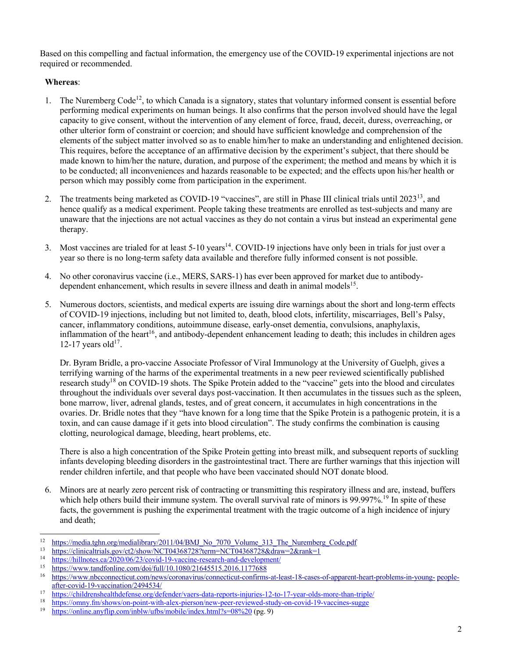Based on this compelling and factual information, the emergency use of the COVID-19 experimental injections are not required or recommended.

## **Whereas**:

- 1. The Nuremberg Code<sup>12</sup>, to which Canada is a signatory, states that voluntary informed consent is essential before performing medical experiments on human beings. It also confirms that the person involved should have the legal capacity to give consent, without the intervention of any element of force, fraud, deceit, duress, overreaching, or other ulterior form of constraint or coercion; and should have sufficient knowledge and comprehension of the elements of the subject matter involved so as to enable him/her to make an understanding and enlightened decision. This requires, before the acceptance of an affirmative decision by the experiment's subject, that there should be made known to him/her the nature, duration, and purpose of the experiment; the method and means by which it is to be conducted; all inconveniences and hazards reasonable to be expected; and the effects upon his/her health or person which may possibly come from participation in the experiment.
- 2. The treatments being marketed as COVID-19 "vaccines", are still in Phase III clinical trials until 2023<sup>13</sup>, and hence qualify as a medical experiment. People taking these treatments are enrolled as test-subjects and many are unaware that the injections are not actual vaccines as they do not contain a virus but instead an experimental gene therapy.
- 3. Most vaccines are trialed for at least 5-10 years<sup>14</sup>. COVID-19 injections have only been in trials for just over a year so there is no long-term safety data available and therefore fully informed consent is not possible.
- 4. No other coronavirus vaccine (i.e., MERS, SARS-1) has ever been approved for market due to antibodydependent enhancement, which results in severe illness and death in animal models $15$ .
- 5. Numerous doctors, scientists, and medical experts are issuing dire warnings about the short and long-term effects of COVID-19 injections, including but not limited to, death, blood clots, infertility, miscarriages, Bell's Palsy, cancer, inflammatory conditions, autoimmune disease, early-onset dementia, convulsions, anaphylaxis, inflammation of the heart<sup>16</sup>, and antibody-dependent enhancement leading to death; this includes in children ages 12-17 years old $17$ .

Dr. Byram Bridle, a pro-vaccine Associate Professor of Viral Immunology at the University of Guelph, gives a terrifying warning of the harms of the experimental treatments in a new peer reviewed scientifically published research study<sup>18</sup> on COVID-19 shots. The Spike Protein added to the "vaccine" gets into the blood and circulates throughout the individuals over several days post-vaccination. It then accumulates in the tissues such as the spleen, bone marrow, liver, adrenal glands, testes, and of great concern, it accumulates in high concentrations in the ovaries. Dr. Bridle notes that they "have known for a long time that the Spike Protein is a pathogenic protein, it is a toxin, and can cause damage if it gets into blood circulation". The study confirms the combination is causing clotting, neurological damage, bleeding, heart problems, etc.

There is also a high concentration of the Spike Protein getting into breast milk, and subsequent reports of suckling infants developing bleeding disorders in the gastrointestinal tract. There are further warnings that this injection will render children infertile, and that people who have been vaccinated should NOT donate blood.

6. Minors are at nearly zero percent risk of contracting or transmitting this respiratory illness and are, instead, buffers which help others build their immune system. The overall survival rate of minors is 99.997%.<sup>19</sup> In spite of these facts, the government is pushing the experimental treatment with the tragic outcome of a high incidence of injury and death;

<sup>&</sup>lt;sup>12</sup> https://media.tghn.org/medialibrary/2011/04/BMJ\_No\_7070\_Volume\_313\_The\_Nuremberg\_Code.pdf<br><sup>13</sup> https://plinicaltrials.gov/et2/chow/NCT042687282term=NCT04268728.edgay=2.gov/cl

 $\frac{13}{\text{https://clinical trials.gov/ct2/show/NCT04368728?term=NCT04368728&draw=2&rank=1}{\text{https://clinical trials.gov/ct2/show/NCT04368728?term=NCT04368728&draw=2&rank=1}{\text{https://hilinated.org/2020/06/23/exid 10. weezing necessary to get a new-level power}}$ 

<sup>&</sup>lt;sup>14</sup> https://hillnotes.ca/2020/06/23/covid-19-vaccine-research-and-development/<br><sup>15</sup> https://wayw.tondfonline.com/doi/full/10.1080/21645515.2016.1177688

<sup>&</sup>lt;sup>15</sup> https://www.tandfonline.com/doi/full/10.1080/21645515.2016.1177688<br><sup>16</sup> https://www.phcconnecticut.com/news/coronayirus/connecticut.confirms

<sup>16</sup> https://www.nbcconnecticut.com/news/coronavirus/connecticut-confirms-at-least-18-cases-of-apparent-heart-problems-in-young- peopleafter-covid-19-vaccination/2494534/

<sup>17</sup> https://childrenshealthdefense.org/defender/vaers-data-reports-injuries-12-to-17-year-olds-more-than-triple/<br>18 https://omny.fm/shows/on-point-with-alex-pierson/new-peer-reviewed-study-on-covid-19-yaccines-sugge

<sup>&</sup>lt;sup>18</sup> https://omny.fm/shows/on-point-with-alex-pierson/new-peer-reviewed-study-on-covid-19-vaccines-sugge<br><sup>19</sup> https://online.anytlin.com/inblw/utbs/mobile/index.html?s=08%20.(pg. 9)

https://online.anyflip.com/inblw/ufbs/mobile/index.html?s=08%20 (pg. 9)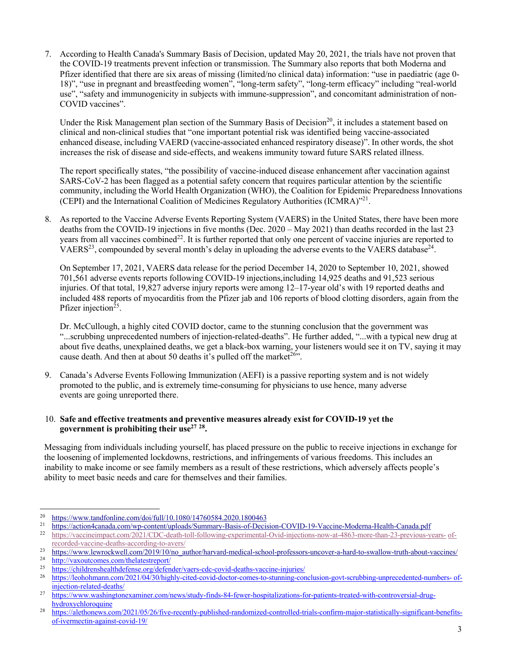7. According to Health Canada's Summary Basis of Decision, updated May 20, 2021, the trials have not proven that the COVID-19 treatments prevent infection or transmission. The Summary also reports that both Moderna and Pfizer identified that there are six areas of missing (limited/no clinical data) information: "use in paediatric (age 0- 18)", "use in pregnant and breastfeeding women", "long-term safety", "long-term efficacy" including "real-world use", "safety and immunogenicity in subjects with immune-suppression", and concomitant administration of non-COVID vaccines".

Under the Risk Management plan section of the Summary Basis of Decision<sup>20</sup>, it includes a statement based on clinical and non-clinical studies that "one important potential risk was identified being vaccine-associated enhanced disease, including VAERD (vaccine-associated enhanced respiratory disease)". In other words, the shot increases the risk of disease and side-effects, and weakens immunity toward future SARS related illness.

The report specifically states, "the possibility of vaccine-induced disease enhancement after vaccination against SARS-CoV-2 has been flagged as a potential safety concern that requires particular attention by the scientific community, including the World Health Organization (WHO), the Coalition for Epidemic Preparedness Innovations (CEPI) and the International Coalition of Medicines Regulatory Authorities (ICMRA)"21.

8. As reported to the Vaccine Adverse Events Reporting System (VAERS) in the United States, there have been more deaths from the COVID-19 injections in five months (Dec. 2020 – May 2021) than deaths recorded in the last 23 years from all vaccines combined<sup>22</sup>. It is further reported that only one percent of vaccine injuries are reported to VAERS<sup>23</sup>, compounded by several month's delay in uploading the adverse events to the VAERS database<sup>24</sup>.

On September 17, 2021, VAERS data release for the period December 14, 2020 to September 10, 2021, showed 701,561 adverse events reports following COVID-19 injections,including 14,925 deaths and 91,523 serious injuries. Of that total, 19,827 adverse injury reports were among 12–17-year old's with 19 reported deaths and included 488 reports of myocarditis from the Pfizer jab and 106 reports of blood clotting disorders, again from the Pfizer injection<sup>25</sup>.

Dr. McCullough, a highly cited COVID doctor, came to the stunning conclusion that the government was "...scrubbing unprecedented numbers of injection-related-deaths". He further added, "...with a typical new drug at about five deaths, unexplained deaths, we get a black-box warning, your listeners would see it on TV, saying it may cause death. And then at about 50 deaths it's pulled off the market<sup>26</sup>".

9. Canada's Adverse Events Following Immunization (AEFI) is a passive reporting system and is not widely promoted to the public, and is extremely time-consuming for physicians to use hence, many adverse events are going unreported there.

#### 10. **Safe and effective treatments and preventive measures already exist for COVID-19 yet the government is prohibiting their use27 28.**

Messaging from individuals including yourself, has placed pressure on the public to receive injections in exchange for the loosening of implemented lockdowns, restrictions, and infringements of various freedoms. This includes an inability to make income or see family members as a result of these restrictions, which adversely affects people's ability to meet basic needs and care for themselves and their families.

<sup>&</sup>lt;sup>20</sup> https://www.tandfonline.com/doi/full/10.1080/14760584.2020.1800463<br><sup>21</sup> https://astiandaganda.com/vm.gottart/vplog/a/Symmery Bosia of Dosin

<sup>&</sup>lt;sup>21</sup> https://action4canada.com/wp-content/uploads/Summary-Basis-of-Decision-COVID-19-Vaccine-Moderna-Health-Canada.pdf<br><sup>22</sup> https://vaccineimpact.com/2021/CDC-death-toll-following-experimental-Qvid-injections-now-at-4863-m

<sup>22</sup> https://vaccineimpact.com/2021/CDC-death-toll-following-experimental-Ovid-injections-now-at-4863-more-than-23-previous-years- ofrecorded-vaccine-deaths-according-to-avers/

 $\frac{23}{\text{https://www.lewrockwell.com/2019/10/no}}$  author/harvard-medical-school-professors-uncover-a-hard-to-swallow-truth-about-vaccines/

 $\frac{24}{ \frac{http://vaxoutcomes.com/thelatestreport/}{\frac{1}{25}} }$ 

<sup>&</sup>lt;sup>25</sup> https://childrenshealthdefense.org/defender/vaers-cdc-covid-deaths-vaccine-injuries/<br> $\frac{25}{100}$  https://lookohmann.com/2021/04/20/highly-cited-covid-deaths-vaccine-injuries/

<sup>26</sup> https://leohohmann.com/2021/04/30/highly-cited-covid-doctor-comes-to-stunning-conclusion-govt-scrubbing-unprecedented-numbers- ofinjection-related-deaths/

<sup>27</sup> https://www.washingtonexaminer.com/news/study-finds-84-fewer-hospitalizations-for-patients-treated-with-controversial-drughydroxychloroquine

<sup>28</sup> https://alethonews.com/2021/05/26/five-recently-published-randomized-controlled-trials-confirm-major-statistically-significant-benefitsof-ivermectin-against-covid-19/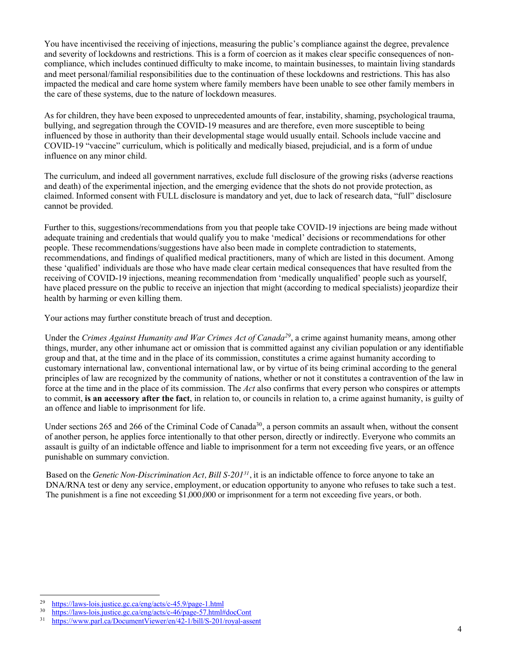You have incentivised the receiving of injections, measuring the public's compliance against the degree, prevalence and severity of lockdowns and restrictions. This is a form of coercion as it makes clear specific consequences of noncompliance, which includes continued difficulty to make income, to maintain businesses, to maintain living standards and meet personal/familial responsibilities due to the continuation of these lockdowns and restrictions. This has also impacted the medical and care home system where family members have been unable to see other family members in the care of these systems, due to the nature of lockdown measures.

As for children, they have been exposed to unprecedented amounts of fear, instability, shaming, psychological trauma, bullying, and segregation through the COVID-19 measures and are therefore, even more susceptible to being influenced by those in authority than their developmental stage would usually entail. Schools include vaccine and COVID-19 "vaccine" curriculum, which is politically and medically biased, prejudicial, and is a form of undue influence on any minor child.

The curriculum, and indeed all government narratives, exclude full disclosure of the growing risks (adverse reactions and death) of the experimental injection, and the emerging evidence that the shots do not provide protection, as claimed. Informed consent with FULL disclosure is mandatory and yet, due to lack of research data, "full" disclosure cannot be provided.

Further to this, suggestions/recommendations from you that people take COVID-19 injections are being made without adequate training and credentials that would qualify you to make 'medical' decisions or recommendations for other people. These recommendations/suggestions have also been made in complete contradiction to statements, recommendations, and findings of qualified medical practitioners, many of which are listed in this document. Among these 'qualified' individuals are those who have made clear certain medical consequences that have resulted from the receiving of COVID-19 injections, meaning recommendation from 'medically unqualified' people such as yourself, have placed pressure on the public to receive an injection that might (according to medical specialists) jeopardize their health by harming or even killing them.

Your actions may further constitute breach of trust and deception.

Under the *Crimes Against Humanity and War Crimes Act of Canada<sup>29</sup>*, a crime against humanity means, among other things, murder, any other inhumane act or omission that is committed against any civilian population or any identifiable group and that, at the time and in the place of its commission, constitutes a crime against humanity according to customary international law, conventional international law, or by virtue of its being criminal according to the general principles of law are recognized by the community of nations, whether or not it constitutes a contravention of the law in force at the time and in the place of its commission. The *Act* also confirms that every person who conspires or attempts to commit, **is an accessory after the fact**, in relation to, or councils in relation to, a crime against humanity, is guilty of an offence and liable to imprisonment for life.

Under sections 265 and 266 of the Criminal Code of Canada<sup>30</sup>, a person commits an assault when, without the consent of another person, he applies force intentionally to that other person, directly or indirectly. Everyone who commits an assault is guilty of an indictable offence and liable to imprisonment for a term not exceeding five years, or an offence punishable on summary conviction.

Based on the *Genetic Non-Discrimination Act, Bill S-20131*, it is an indictable offence to force anyone to take an DNA/RNA test or deny any service, employment, or education opportunity to anyone who refuses to take such a test. The punishment is a fine not exceeding \$1,000,000 or imprisonment for a term not exceeding five years, or both.

<sup>&</sup>lt;sup>29</sup> https://laws-lois.justice.gc.ca/eng/acts/c-45.9/page-1.html<br> $\frac{30}{2}$  https://laws-lois.justice.gc.ca/eng/acts/c-46/page-57.html

 $\frac{30}{1}$  https://laws-lois.justice.gc.ca/eng/acts/c-46/page-57.html#docCont<br> $\frac{31}{1}$  https://www.parl.ca/DocumentViewer/en/42-1/bill/S-201/royal-ass

<sup>31</sup> https://www.parl.ca/DocumentViewer/en/42-1/bill/S-201/royal-assent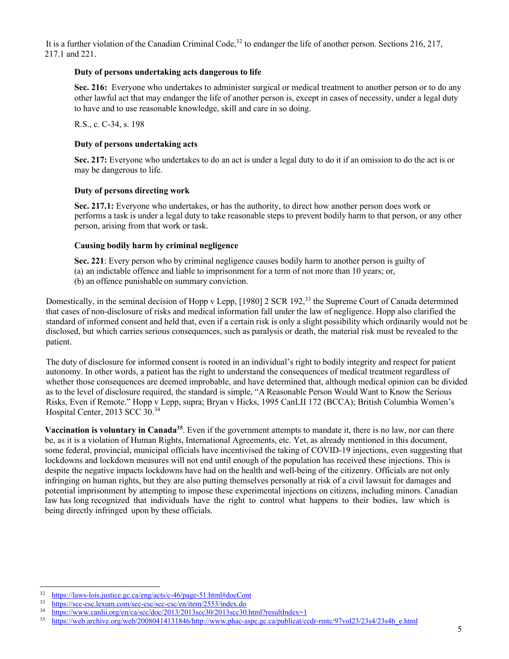It is a further violation of the Canadian Criminal Code,  $32$  to endanger the life of another person. Sections 216, 217, 217.1 and 221.

#### **Duty of persons undertaking acts dangerous to life**

**Sec. 216:** Everyone who undertakes to administer surgical or medical treatment to another person or to do any other lawful act that may endanger the life of another person is, except in cases of necessity, under a legal duty to have and to use reasonable knowledge, skill and care in so doing.

R.S., c. C-34, s. 198

### **Duty of persons undertaking acts**

**Sec. 217:** Everyone who undertakes to do an act is under a legal duty to do it if an omission to do the act is or may be dangerous to life.

#### **Duty of persons directing work**

**Sec. 217.1:** Everyone who undertakes, or has the authority, to direct how another person does work or performs a task is under a legal duty to take reasonable steps to prevent bodily harm to that person, or any other person, arising from that work or task.

#### **Causing bodily harm by criminal negligence**

**Sec. 221**: Every person who by criminal negligence causes bodily harm to another person is guilty of (a) an indictable offence and liable to imprisonment for a term of not more than 10 years; or, (b) an offence punishable on summary conviction.

Domestically, in the seminal decision of Hopp v Lepp, [1980] 2 SCR 192,<sup>33</sup> the Supreme Court of Canada determined that cases of non-disclosure of risks and medical information fall under the law of negligence. Hopp also clarified the standard of informed consent and held that, even if a certain risk is only a slight possibility which ordinarily would not be disclosed, but which carries serious consequences, such as paralysis or death, the material risk must be revealed to the patient.

The duty of disclosure for informed consent is rooted in an individual's right to bodily integrity and respect for patient autonomy. In other words, a patient has the right to understand the consequences of medical treatment regardless of whether those consequences are deemed improbable, and have determined that, although medical opinion can be divided as to the level of disclosure required, the standard is simple, "A Reasonable Person Would Want to Know the Serious Risks, Even if Remote." Hopp v Lepp, supra; Bryan v Hicks, 1995 CanLII 172 (BCCA); British Columbia Women's Hospital Center, 2013 SCC 30.34

**Vaccination is voluntary in Canada<sup>35</sup>**. Even if the government attempts to mandate it, there is no law, nor can there be, as it is a violation of Human Rights, International Agreements, etc. Yet, as already mentioned in this document, some federal, provincial, municipal officials have incentivised the taking of COVID-19 injections, even suggesting that lockdowns and lockdown measures will not end until enough of the population has received these injections. This is despite the negative impacts lockdowns have had on the health and well-being of the citizenry. Officials are not only infringing on human rights, but they are also putting themselves personally at risk of a civil lawsuit for damages and potential imprisonment by attempting to impose these experimental injections on citizens, including minors. Canadian law has long recognized that individuals have the right to control what happens to their bodies, law which is being directly infringed upon by these officials.

 $\frac{32}{\text{https://laws-lois.justice.gc.ca/eng/acts/c-46/page-51.html\#docCont}}$ <br> $\frac{33}{\text{https://sec.csclaxum.com/sec.cec/sec.cac/enc/item/2553/index do}}$ 

 $\frac{33}{100}$  https://scc-csc.lexum.com/scc-csc/scc-csc/en/item/2553/index.do<br> $\frac{34}{100}$  https://www.coplit.org/en/co/scc/doc/2013/2013scc30/2013scc30

 $\frac{34}{\text{https://www.canlii.org/en/ca/sec/doc/2013/2013sec30/2013sec30.html/resultIndex}=1}{\text{https://web-archive.org/web/20080414131846/http://www. phase-sspc-gc.ca/nublicat/cc0013/20138c0114131846/http://www. phase-sspc-gc.ca/nublicat/cc0013/20136c0114131846/http://www. phase-sspc-gc.ca/nublicat/cc0013/20136c0114131846/http://www. phase-sspc-gc.ca/nublicat/cc0013/20136c0$ 

https://web.archive.org/web/20080414131846/http://www.phac-aspc.gc.ca/publicat/ccdr-rmtc/97vol23/23s4/23s4b\_e.html